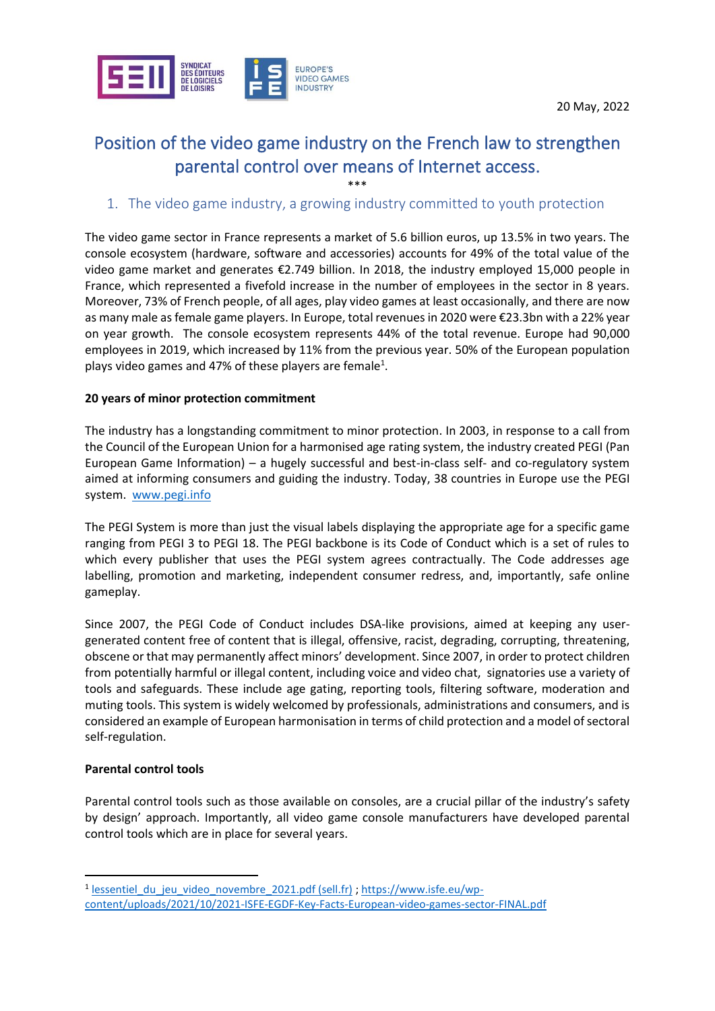

# Position of the video game industry on the French law to strengthen parental control over means of Internet access.

\*\*\*

# 1. The video game industry, a growing industry committed to youth protection

The video game sector in France represents a market of 5.6 billion euros, up 13.5% in two years. The console ecosystem (hardware, software and accessories) accounts for 49% of the total value of the video game market and generates €2.749 billion. In 2018, the industry employed 15,000 people in France, which represented a fivefold increase in the number of employees in the sector in 8 years. Moreover, 73% of French people, of all ages, play video games at least occasionally, and there are now as many male as female game players. In Europe, total revenues in 2020 were €23.3bn with a 22% year on year growth. The console ecosystem represents 44% of the total revenue. Europe had 90,000 employees in 2019, which increased by 11% from the previous year. 50% of the European population plays video games and 47% of these players are female<sup>1</sup>.

## **20 years of minor protection commitment**

The industry has a longstanding commitment to minor protection. In 2003, in response to a call from the Council of the European Union for a harmonised age rating system, the industry created PEGI (Pan European Game Information) – a hugely successful and best-in-class self- and co-regulatory system aimed at informing consumers and guiding the industry. Today, 38 countries in Europe use the PEGI system. [www.pegi.info](http://www.pegi.info/)

The PEGI System is more than just the visual labels displaying the appropriate age for a specific game ranging from PEGI 3 to PEGI 18. The PEGI backbone is its Code of Conduct which is a set of rules to which every publisher that uses the PEGI system agrees contractually. The Code addresses age labelling, promotion and marketing, independent consumer redress, and, importantly, safe online gameplay.

Since 2007, the PEGI Code of Conduct includes DSA-like provisions, aimed at keeping any usergenerated content free of content that is illegal, offensive, racist, degrading, corrupting, threatening, obscene or that may permanently affect minors' development. Since 2007, in order to protect children from potentially harmful or illegal content, including voice and video chat, signatories use a variety of tools and safeguards. These include age gating, reporting tools, filtering software, moderation and muting tools. This system is widely welcomed by professionals, administrations and consumers, and is considered an example of European harmonisation in terms of child protection and a model of sectoral self-regulation.

#### **Parental control tools**

Parental control tools such as those available on consoles, are a crucial pillar of the industry's safety by design' approach. Importantly, all video game console manufacturers have developed parental control tools which are in place for several years.

<sup>&</sup>lt;sup>1</sup> lessentiel du jeu video novembre 2021.pdf (sell.fr) ; [https://www.isfe.eu/wp](https://www.isfe.eu/wp-content/uploads/2021/10/2021-ISFE-EGDF-Key-Facts-European-video-games-sector-FINAL.pdf)[content/uploads/2021/10/2021-ISFE-EGDF-Key-Facts-European-video-games-sector-FINAL.pdf](https://www.isfe.eu/wp-content/uploads/2021/10/2021-ISFE-EGDF-Key-Facts-European-video-games-sector-FINAL.pdf)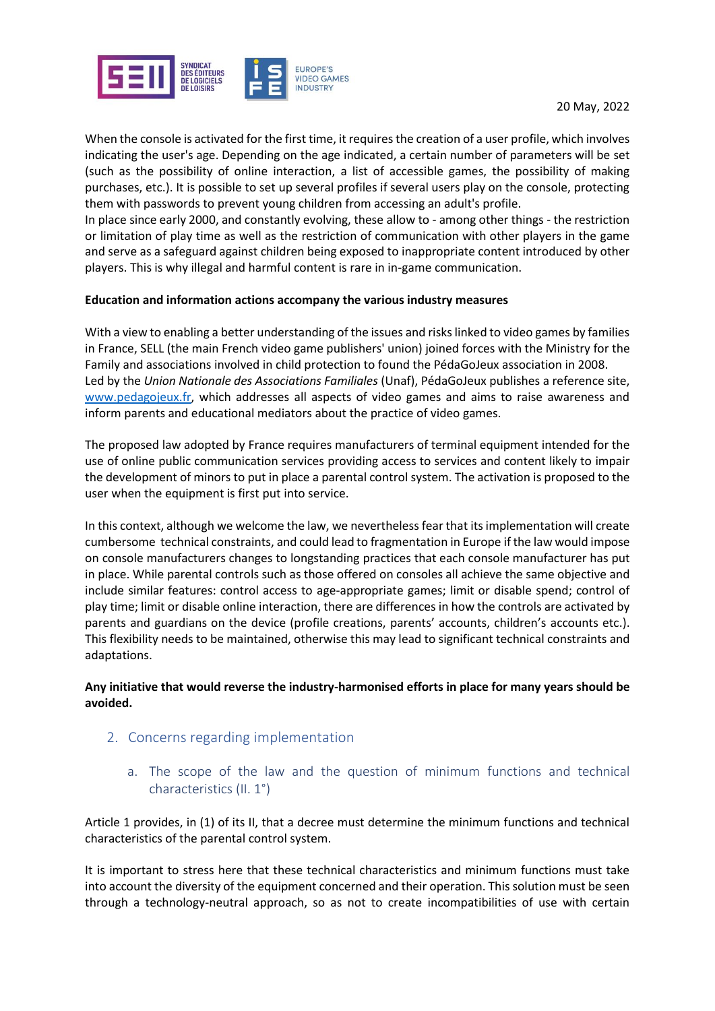

When the console is activated for the first time, it requires the creation of a user profile, which involves indicating the user's age. Depending on the age indicated, a certain number of parameters will be set (such as the possibility of online interaction, a list of accessible games, the possibility of making purchases, etc.). It is possible to set up several profiles if several users play on the console, protecting them with passwords to prevent young children from accessing an adult's profile.

In place since early 2000, and constantly evolving, these allow to - among other things - the restriction or limitation of play time as well as the restriction of communication with other players in the game and serve as a safeguard against children being exposed to inappropriate content introduced by other players. This is why illegal and harmful content is rare in in-game communication.

#### **Education and information actions accompany the various industry measures**

With a view to enabling a better understanding of the issues and risks linked to video games by families in France, SELL (the main French video game publishers' union) joined forces with the Ministry for the Family and associations involved in child protection to found the PédaGoJeux association in 2008. Led by the *Union Nationale des Associations Familiales* (Unaf), PédaGoJeux publishes a reference site, [www.pedagojeux.fr,](http://www.pedagojeux.fr/) which addresses all aspects of video games and aims to raise awareness and inform parents and educational mediators about the practice of video games.

The proposed law adopted by France requires manufacturers of terminal equipment intended for the use of online public communication services providing access to services and content likely to impair the development of minors to put in place a parental control system. The activation is proposed to the user when the equipment is first put into service.

In this context, although we welcome the law, we nevertheless fear that its implementation will create cumbersome technical constraints, and could lead to fragmentation in Europe if the law would impose on console manufacturers changes to longstanding practices that each console manufacturer has put in place. While parental controls such as those offered on consoles all achieve the same objective and include similar features: control access to age-appropriate games; limit or disable spend; control of play time; limit or disable online interaction, there are differences in how the controls are activated by parents and guardians on the device (profile creations, parents' accounts, children's accounts etc.). This flexibility needs to be maintained, otherwise this may lead to significant technical constraints and adaptations.

## **Any initiative that would reverse the industry-harmonised efforts in place for many years should be avoided.**

- 2. Concerns regarding implementation
	- a. The scope of the law and the question of minimum functions and technical characteristics (II. 1°)

Article 1 provides, in (1) of its II, that a decree must determine the minimum functions and technical characteristics of the parental control system.

It is important to stress here that these technical characteristics and minimum functions must take into account the diversity of the equipment concerned and their operation. This solution must be seen through a technology-neutral approach, so as not to create incompatibilities of use with certain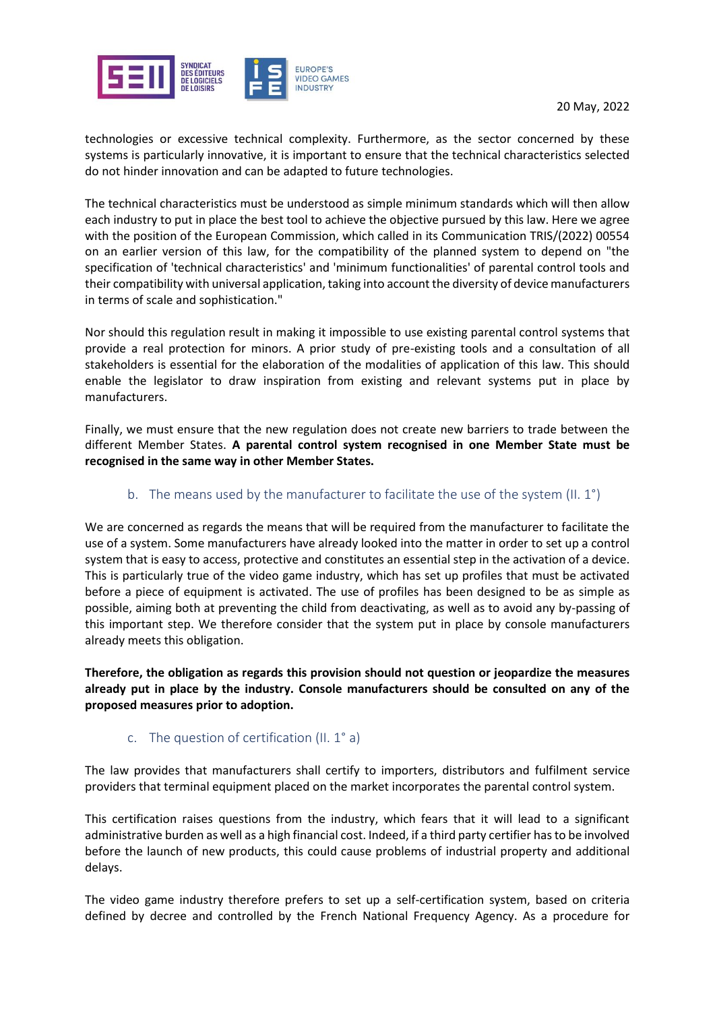



technologies or excessive technical complexity. Furthermore, as the sector concerned by these systems is particularly innovative, it is important to ensure that the technical characteristics selected do not hinder innovation and can be adapted to future technologies.

The technical characteristics must be understood as simple minimum standards which will then allow each industry to put in place the best tool to achieve the objective pursued by this law. Here we agree with the position of the European Commission, which called in its Communication TRIS/(2022) 00554 on an earlier version of this law, for the compatibility of the planned system to depend on "the specification of 'technical characteristics' and 'minimum functionalities' of parental control tools and their compatibility with universal application, taking into account the diversity of device manufacturers in terms of scale and sophistication."

Nor should this regulation result in making it impossible to use existing parental control systems that provide a real protection for minors. A prior study of pre-existing tools and a consultation of all stakeholders is essential for the elaboration of the modalities of application of this law. This should enable the legislator to draw inspiration from existing and relevant systems put in place by manufacturers.

Finally, we must ensure that the new regulation does not create new barriers to trade between the different Member States. **A parental control system recognised in one Member State must be recognised in the same way in other Member States.**

## b. The means used by the manufacturer to facilitate the use of the system (II. 1°)

We are concerned as regards the means that will be required from the manufacturer to facilitate the use of a system. Some manufacturers have already looked into the matter in order to set up a control system that is easy to access, protective and constitutes an essential step in the activation of a device. This is particularly true of the video game industry, which has set up profiles that must be activated before a piece of equipment is activated. The use of profiles has been designed to be as simple as possible, aiming both at preventing the child from deactivating, as well as to avoid any by-passing of this important step. We therefore consider that the system put in place by console manufacturers already meets this obligation.

**Therefore, the obligation as regards this provision should not question or jeopardize the measures already put in place by the industry. Console manufacturers should be consulted on any of the proposed measures prior to adoption.**

## c. The question of certification (II. 1° a)

The law provides that manufacturers shall certify to importers, distributors and fulfilment service providers that terminal equipment placed on the market incorporates the parental control system.

This certification raises questions from the industry, which fears that it will lead to a significant administrative burden as well as a high financial cost. Indeed, if a third party certifier has to be involved before the launch of new products, this could cause problems of industrial property and additional delays.

The video game industry therefore prefers to set up a self-certification system, based on criteria defined by decree and controlled by the French National Frequency Agency. As a procedure for